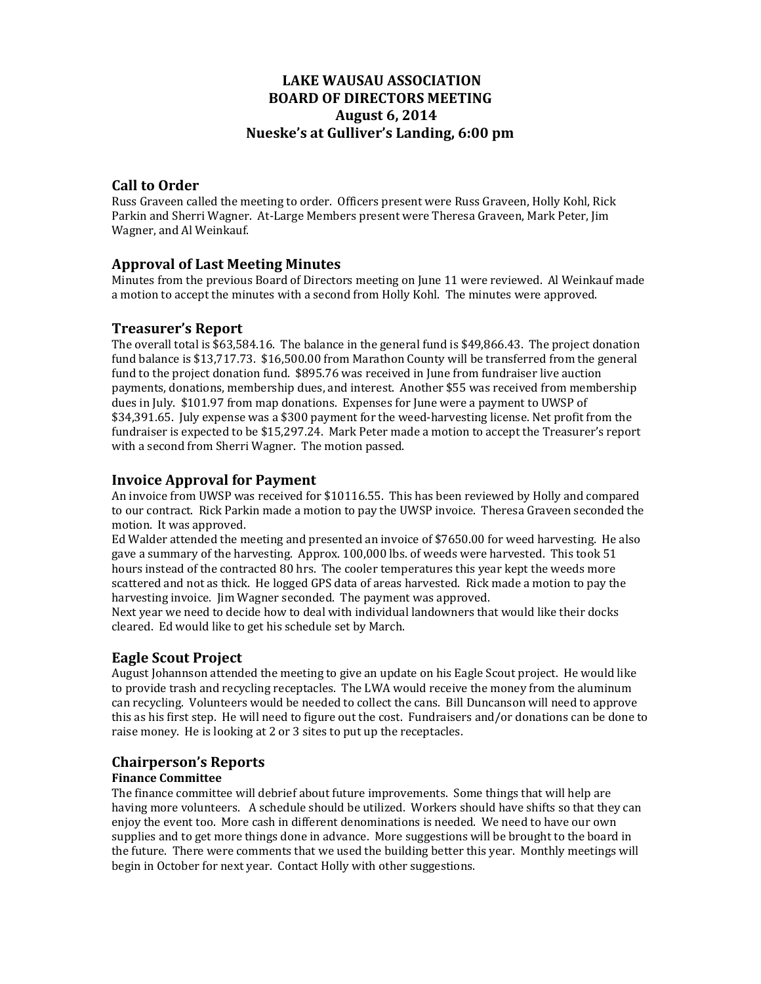# **LAKE WAUSAU ASSOCIATION BOARD OF DIRECTORS MEETING August 6, 2014 Nueske's at Gulliver's Landing, 6:00 pm**

## **Call to Order**

Russ Graveen called the meeting to order. Officers present were Russ Graveen, Holly Kohl, Rick Parkin and Sherri Wagner. At-Large Members present were Theresa Graveen, Mark Peter, Jim Wagner, and Al Weinkauf.

## **Approval of Last Meeting Minutes**

Minutes from the previous Board of Directors meeting on June 11 were reviewed. Al Weinkauf made a motion to accept the minutes with a second from Holly Kohl. The minutes were approved.

## **Treasurer's Report**

The overall total is  $$63,584.16$ . The balance in the general fund is  $$49,866.43$ . The project donation fund balance is \$13,717.73. \$16,500.00 from Marathon County will be transferred from the general fund to the project donation fund. \$895.76 was received in June from fundraiser live auction payments, donations, membership dues, and interest. Another \$55 was received from membership dues in July. \$101.97 from map donations. Expenses for June were a payment to UWSP of \$34,391.65. July expense was a \$300 payment for the weed-harvesting license. Net profit from the fundraiser is expected to be \$15,297.24. Mark Peter made a motion to accept the Treasurer's report with a second from Sherri Wagner. The motion passed.

## **Invoice Approval for Payment**

An invoice from UWSP was received for \$10116.55. This has been reviewed by Holly and compared to our contract. Rick Parkin made a motion to pay the UWSP invoice. Theresa Graveen seconded the motion. It was approved.

Ed Walder attended the meeting and presented an invoice of \$7650.00 for weed harvesting. He also gave a summary of the harvesting. Approx.  $100,000$  lbs. of weeds were harvested. This took 51 hours instead of the contracted 80 hrs. The cooler temperatures this year kept the weeds more scattered and not as thick. He logged GPS data of areas harvested. Rick made a motion to pay the harvesting invoice. Iim Wagner seconded. The payment was approved.

Next year we need to decide how to deal with individual landowners that would like their docks cleared. Ed would like to get his schedule set by March.

## **Eagle Scout Project**

August Johannson attended the meeting to give an update on his Eagle Scout project. He would like to provide trash and recycling receptacles. The LWA would receive the money from the aluminum can recycling. Volunteers would be needed to collect the cans. Bill Duncanson will need to approve this as his first step. He will need to figure out the cost. Fundraisers and/or donations can be done to raise money. He is looking at 2 or 3 sites to put up the receptacles.

## **Chairperson's Reports**

#### **Finance Committee**

The finance committee will debrief about future improvements. Some things that will help are having more volunteers. A schedule should be utilized. Workers should have shifts so that they can enjoy the event too. More cash in different denominations is needed. We need to have our own supplies and to get more things done in advance. More suggestions will be brought to the board in the future. There were comments that we used the building better this year. Monthly meetings will begin in October for next year. Contact Holly with other suggestions.